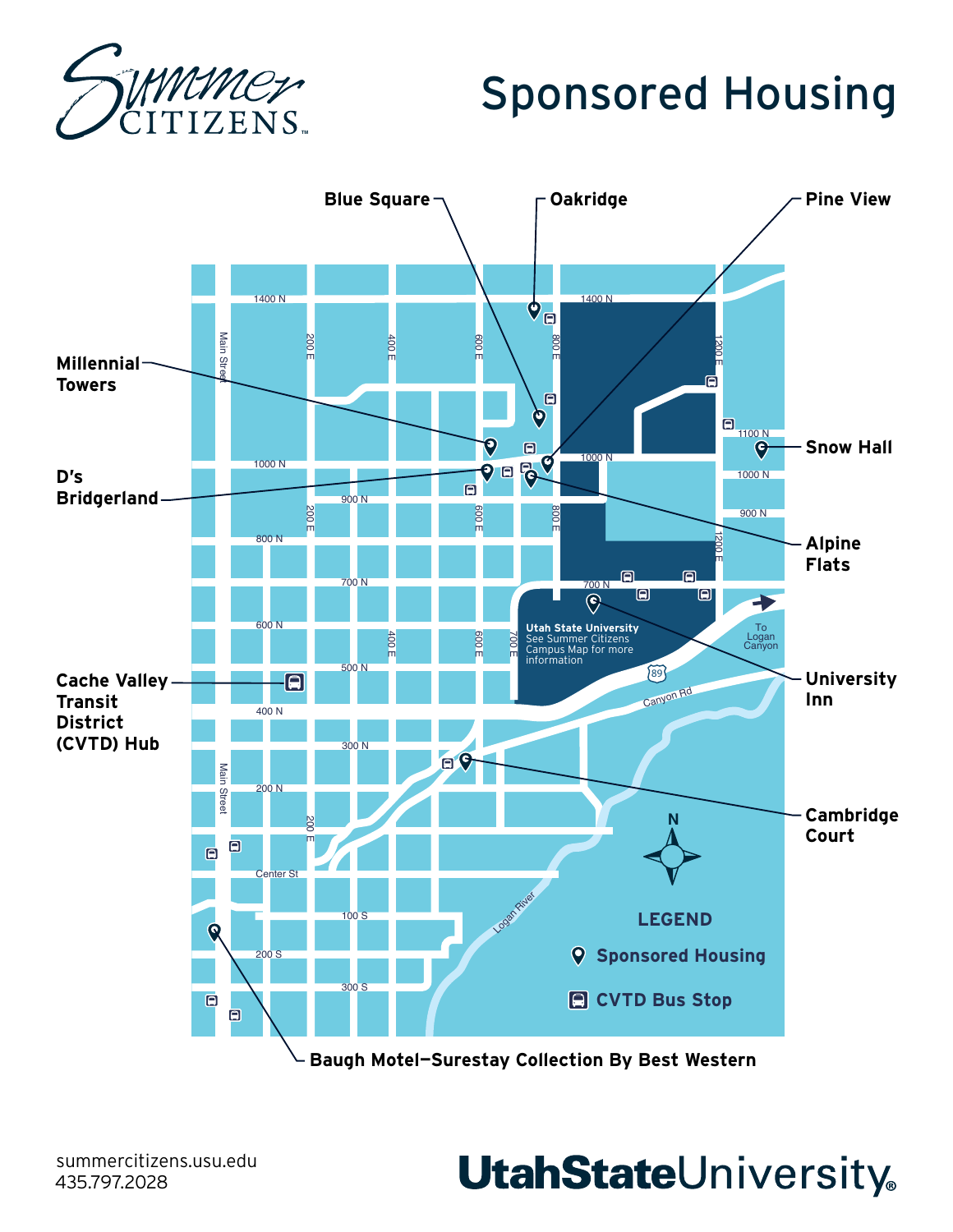

# Sponsored Housing



**Baugh Motel—Surestay Collection By Best Western**

**UtahStateUniversity**